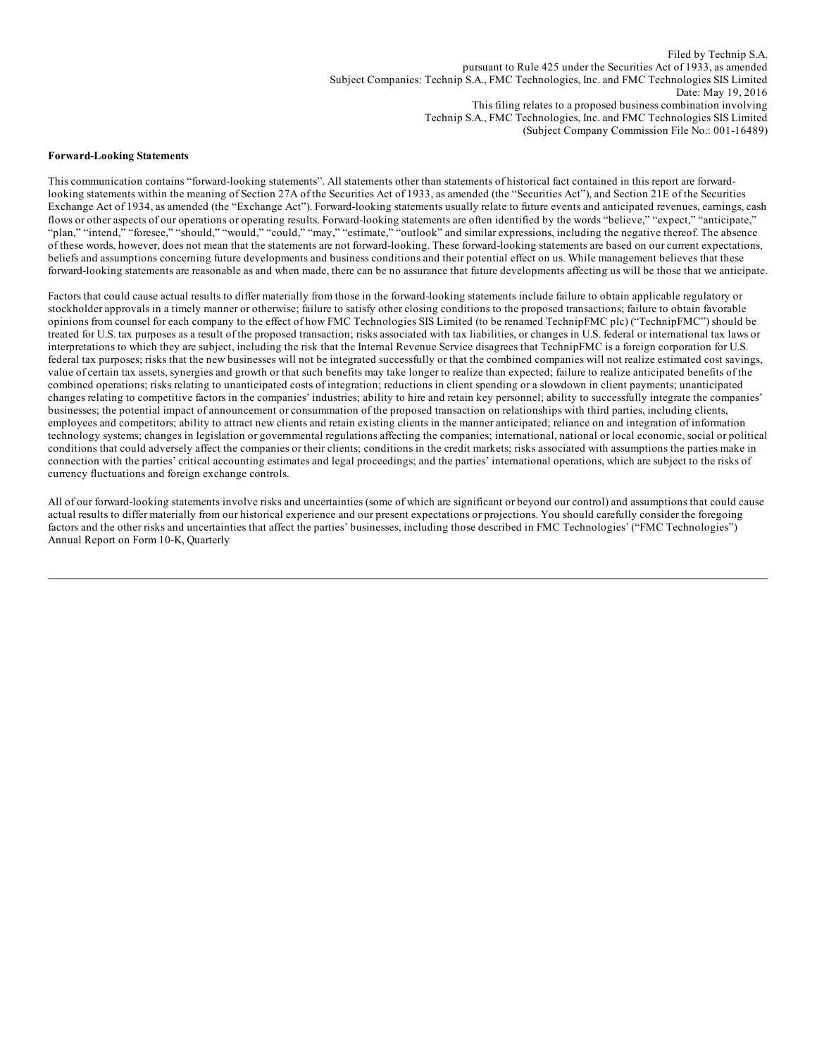Filed by Technip S.A. pursuant to Rule 425 under the Securities Act of 1933, as amended Subject Companies: Technip S.A., FMC Technologies, Inc. and FMC Technologies SIS Limited Date: May 19, 2016 This filing relates to a proposed business combination involving Technip S.A., FMC Technologies, Inc. and FMC Technologies SIS Limited (Subject Company Commission File No.: 001-16489)

#### **Forward-Looking Statements**

This communication contains "forward-looking statements". All statements other than statements of historical fact contained in this report are forwardlooking statements within the meaning of Section 27A of the Securities Act of 1933, as amended (the "Securities Act"), and Section 21E of the Securities Exchange Act of 1934, as amended (the "Exchange Act"). Forward-looking statements usually relate to future events and anticipated revenues, earnings, cash flows or other aspects of our operations or operating results. Forward-looking statements are often identified by the words "believe," "expect," "anticipate," "plan," "intend," "foresee," "should," "would," "could," "may," "estimate," "outlook" and similar expressions, including the negative thereof. The absence of these words, however, does not mean that the statements are not forward-looking. These forward-looking statements are based on our current expectations, beliefs and assumptions concerning future developments and business conditions and their potential effect on us. While management believes that these forward-looking statements are reasonable as and when made, there can be no assurance that future developments affecting us will be those that we anticipate.

Factors that could cause actual results to differ materially from those in the forward-looking statements include failure to obtain applicable regulatory or stockholder approvals in a timely manner or otherwise; failure to satisfy other closing conditions to the proposed transactions; failure to obtain favorable opinions from counsel for each company to the effect of how FMC Technologies SIS Limited (to be renamed TechnipFMC plc) ("TechnipFMC") should be treated for U.S. tax purposes as a result of the proposed transaction; risks associated with tax liabilities, or changes in U.S. federal or international tax laws or interpretations to which they are subject, including the risk that the Internal Revenue Service disagrees that TechnipFMC is a foreign corporation for U.S. federal tax purposes; risks that the new businesses will not be integrated successfully or that the combined companies will not realize estimated cost savings, value of certain tax assets, synergies and growth or that such benefits may take longer to realize than expected; failure to realize anticipated benefits of the combined operations; risks relating to unanticipated costs of integration; reductions in client spending or a slowdown in client payments; unanticipated changes relating to competitive factors in the companies' industries; ability to hire and retain key personnel; ability to successfully integrate the companies' businesses; the potential impact of announcement or consummation of the proposed transaction on relationships with third parties, including clients, employees and competitors; ability to attract new clients and retain existing clients in the manner anticipated; reliance on and integration of information technology systems; changes in legislation or governmental regulations affecting the companies; international, national or local economic, social or political conditions that could adversely affect the companies or their clients; conditions in the credit markets; risks associated with assumptions the parties make in connection with the parties' critical accounting estimates and legal proceedings; and the parties' international operations, which are subject to the risks of currency fluctuations and foreign exchange controls.

All of our forward-looking statements involve risks and uncertainties (some of which are significant or beyond our control) and assumptions that could cause actual results to differ materially from our historical experience and our present expectations or projections. You should carefully consider the foregoing factors and the other risks and uncertainties that affect the parties' businesses, including those described in FMC Technologies' ("FMC Technologies") Annual Report on Form 10-K, Quarterly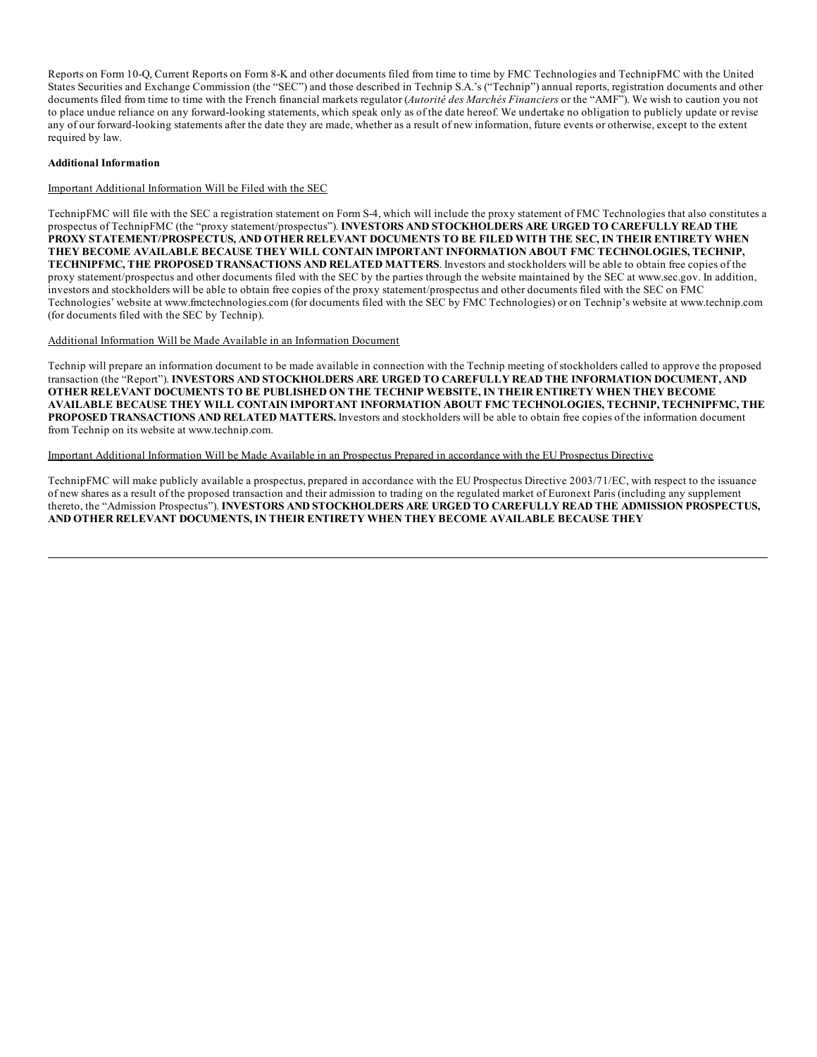Reports on Form 10-Q, Current Reports on Form 8-K and other documents filed from time to time by FMC Technologies and TechnipFMC with the United States Securities and Exchange Commission (the "SEC") and those described in Technip S.A.'s ("Technip") annual reports, registration documents and other documents filed from time to time with the French financial markets regulator (*Autorité des Marchés Financiers* or the "AMF"). We wish to caution you not to place undue reliance on any forward-looking statements, which speak only as of the date hereof. We undertake no obligation to publicly update or revise any of our forward-looking statements after the date they are made, whether as a result of new information, future events or otherwise, except to the extent required by law.

# **Additional Information**

# Important Additional Information Will be Filed with the SEC

TechnipFMC will file with the SEC a registration statement on Form S-4, which will include the proxy statement of FMC Technologies that also constitutes a prospectus of TechnipFMC (the "proxy statement/prospectus"). **INVESTORS AND STOCKHOLDERS ARE URGED TO CAREFULLY READ THE PROXY STATEMENT/PROSPECTUS, AND OTHER RELEVANT DOCUMENTS TO BE FILED WITH THE SEC, IN THEIR ENTIRETY WHEN THEY BECOME AVAILABLE BECAUSE THEY WILL CONTAIN IMPORTANT INFORMATION ABOUT FMC TECHNOLOGIES, TECHNIP, TECHNIPFMC, THE PROPOSED TRANSACTIONS AND RELATED MATTERS**. Investors and stockholders will be able to obtain free copies of the proxy statement/prospectus and other documents filed with the SEC by the parties through the website maintained by the SEC at www.sec.gov. In addition, investors and stockholders will be able to obtain free copies of the proxy statement/prospectus and other documents filed with the SEC on FMC Technologies' website at www.fmctechnologies.com (for documents filed with the SEC by FMC Technologies) or on Technip's website at www.technip.com (for documents filed with the SEC by Technip).

#### Additional Information Will be Made Available in an Information Document

Technip will prepare an information document to be made available in connection with the Technip meeting of stockholders called to approve the proposed transaction (the "Report"). **INVESTORS AND STOCKHOLDERS ARE URGED TO CAREFULLY READ THE INFORMATION DOCUMENT, AND OTHER RELEVANT DOCUMENTS TO BE PUBLISHED ON THE TECHNIP WEBSITE, IN THEIR ENTIRETY WHEN THEY BECOME AVAILABLE BECAUSE THEY WILL CONTAIN IMPORTANT INFORMATION ABOUT FMC TECHNOLOGIES, TECHNIP, TECHNIPFMC, THE PROPOSED TRANSACTIONS AND RELATED MATTERS.** Investors and stockholders will be able to obtain free copies of the information document from Technip on its website at www.technip.com.

# Important Additional Information Will be Made Available in an Prospectus Prepared in accordance with the EU Prospectus Directive

TechnipFMC will make publicly available a prospectus, prepared in accordance with the EU Prospectus Directive 2003/71/EC, with respect to the issuance of new shares as a result of the proposed transaction and their admission to trading on the regulated market of Euronext Paris (including any supplement thereto, the "Admission Prospectus"). **INVESTORS AND STOCKHOLDERS ARE URGED TO CAREFULLY READ THE ADMISSION PROSPECTUS, AND OTHER RELEVANT DOCUMENTS, IN THEIR ENTIRETY WHEN THEY BECOME AVAILABLE BECAUSE THEY**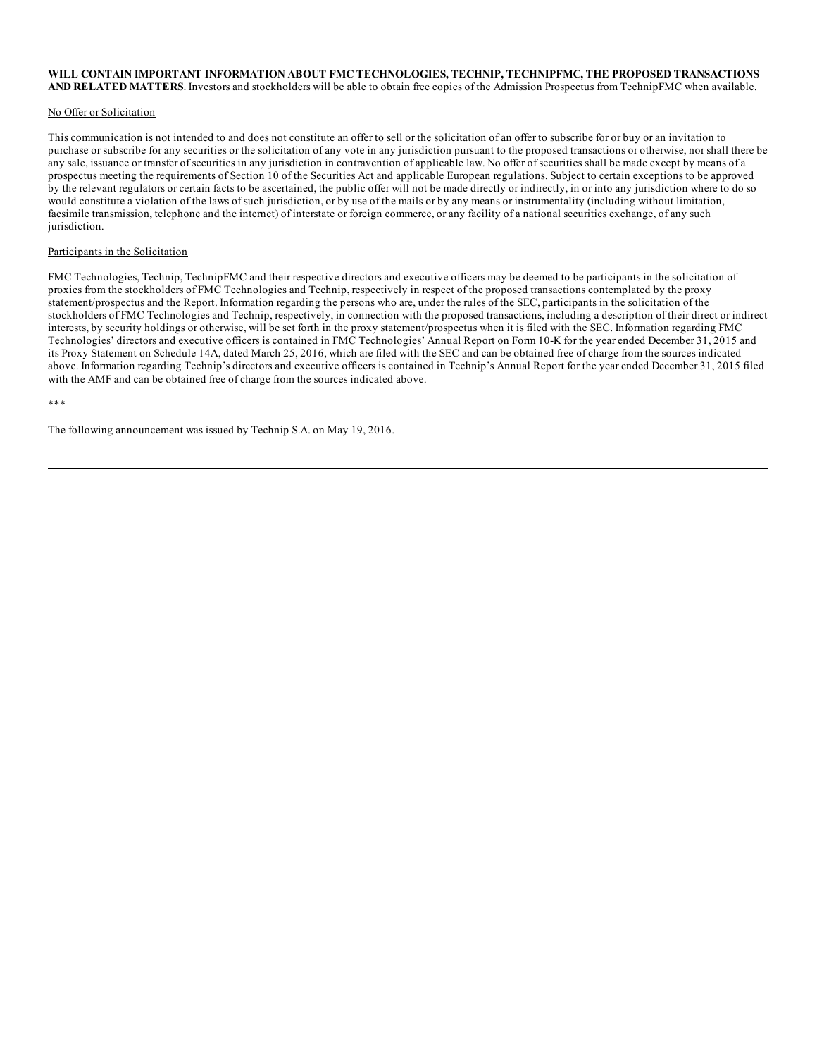#### **WILL CONTAIN IMPORTANT INFORMATION ABOUT FMC TECHNOLOGIES, TECHNIP, TECHNIPFMC, THE PROPOSED TRANSACTIONS AND RELATED MATTERS**. Investors and stockholders will be able to obtain free copies of the Admission Prospectus from TechnipFMC when available.

# No Offer or Solicitation

This communication is not intended to and does not constitute an offer to sell or the solicitation of an offer to subscribe for or buy or an invitation to purchase or subscribe for any securities or the solicitation of any vote in any jurisdiction pursuant to the proposed transactions or otherwise, nor shall there be any sale, issuance or transfer of securities in any jurisdiction in contravention of applicable law. No offer of securities shall be made except by means of a prospectus meeting the requirements of Section 10 of the Securities Act and applicable European regulations. Subject to certain exceptions to be approved by the relevant regulators or certain facts to be ascertained, the public offer will not be made directly or indirectly, in or into any jurisdiction where to do so would constitute a violation of the laws of such jurisdiction, or by use of the mails or by any means or instrumentality (including without limitation, facsimile transmission, telephone and the internet) of interstate or foreign commerce, or any facility of a national securities exchange, of any such jurisdiction.

# Participants in the Solicitation

FMC Technologies, Technip, TechnipFMC and their respective directors and executive officers may be deemed to be participants in the solicitation of proxies from the stockholders of FMC Technologies and Technip, respectively in respect of the proposed transactions contemplated by the proxy statement/prospectus and the Report. Information regarding the persons who are, under the rules of the SEC, participants in the solicitation of the stockholders of FMC Technologies and Technip, respectively, in connection with the proposed transactions, including a description of their direct or indirect interests, by security holdings or otherwise, will be set forth in the proxy statement/prospectus when it is filed with the SEC. Information regarding FMC Technologies' directors and executive officers is contained in FMC Technologies' Annual Report on Form 10-K for the year ended December 31, 2015 and its Proxy Statement on Schedule 14A, dated March 25, 2016, which are filed with the SEC and can be obtained free of charge from the sources indicated above. Information regarding Technip's directors and executive officers is contained in Technip's Annual Report for the year ended December 31, 2015 filed with the AMF and can be obtained free of charge from the sources indicated above.

#### \*\*\*

The following announcement was issued by Technip S.A. on May 19, 2016.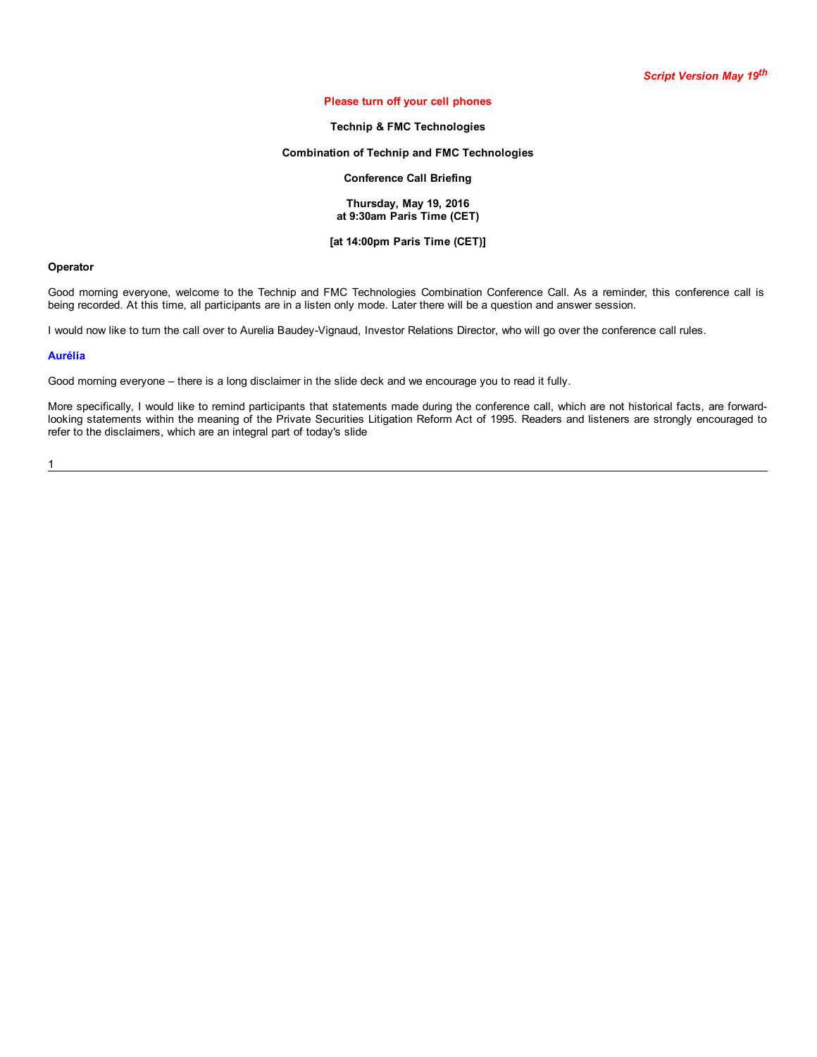# **Please turn off your cell phones**

# **Technip & FMC Technologies**

# **Combination of Technip and FMC Technologies**

# **Conference Call Briefing**

#### **Thursday, May 19, 2016 at 9:30am Paris Time (CET)**

# **[at 14:00pm Paris Time (CET)]**

## **Operator**

Good morning everyone, welcome to the Technip and FMC Technologies Combination Conference Call. As a reminder, this conference call is being recorded. At this time, all participants are in a listen only mode. Later there will be a question and answer session.

I would now like to turn the call over to Aurelia Baudey-Vignaud, Investor Relations Director, who will go over the conference call rules.

#### **Aurélia**

Good morning everyone – there is a long disclaimer in the slide deck and we encourage you to read it fully.

More specifically, I would like to remind participants that statements made during the conference call, which are not historical facts, are forwardlooking statements within the meaning of the Private Securities Litigation Reform Act of 1995. Readers and listeners are strongly encouraged to refer to the disclaimers, which are an integral part of today's slide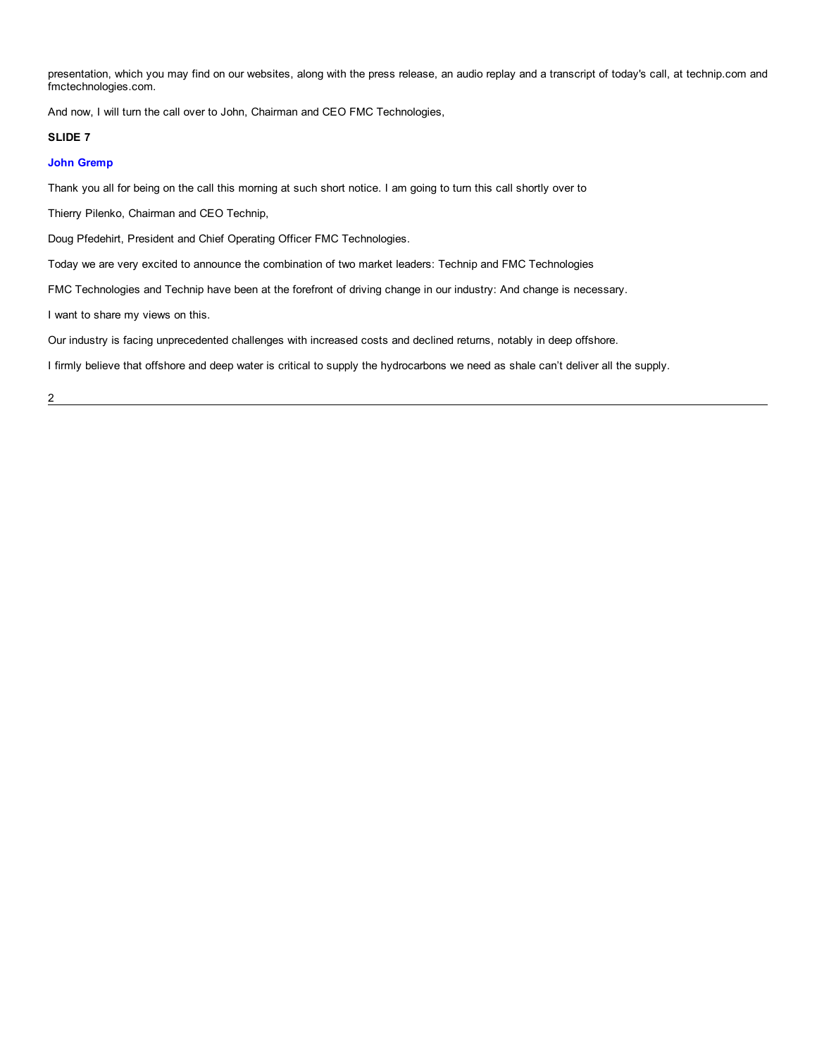presentation, which you may find on our websites, along with the press release, an audio replay and a transcript of today's call, at technip.com and fmctechnologies.com.

And now, I will turn the call over to John, Chairman and CEO FMC Technologies,

# **SLIDE 7**

# **John Gremp**

Thank you all for being on the call this morning at such short notice. I am going to turn this call shortly over to

Thierry Pilenko, Chairman and CEO Technip,

Doug Pfedehirt, President and Chief Operating Officer FMC Technologies.

Today we are very excited to announce the combination of two market leaders: Technip and FMC Technologies

FMC Technologies and Technip have been at the forefront of driving change in our industry: And change is necessary.

I want to share my views on this.

Our industry is facing unprecedented challenges with increased costs and declined returns, notably in deep offshore.

I firmly believe that offshore and deep water is critical to supply the hydrocarbons we need as shale can't deliver all the supply.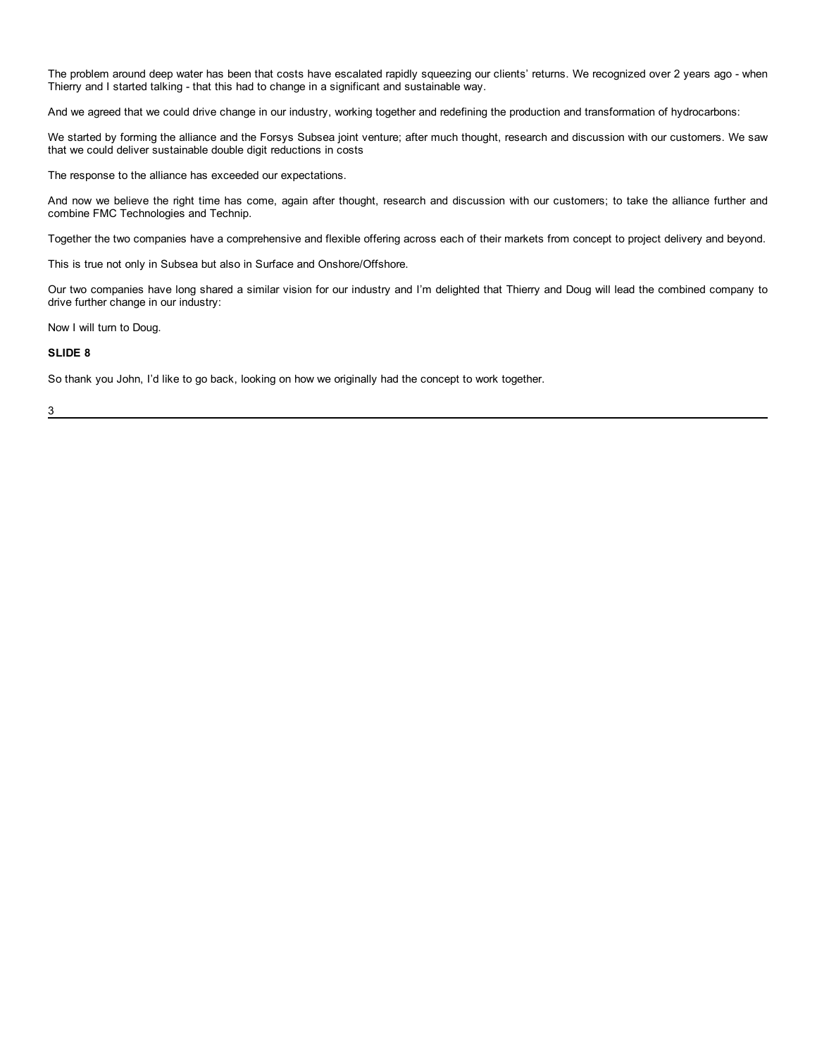The problem around deep water has been that costs have escalated rapidly squeezing our clients' returns. We recognized over 2 years ago - when Thierry and I started talking - that this had to change in a significant and sustainable way.

And we agreed that we could drive change in our industry, working together and redefining the production and transformation of hydrocarbons:

We started by forming the alliance and the Forsys Subsea joint venture; after much thought, research and discussion with our customers. We saw that we could deliver sustainable double digit reductions in costs

The response to the alliance has exceeded our expectations.

And now we believe the right time has come, again after thought, research and discussion with our customers; to take the alliance further and combine FMC Technologies and Technip.

Together the two companies have a comprehensive and flexible offering across each of their markets from concept to project delivery and beyond.

This is true not only in Subsea but also in Surface and Onshore/Offshore.

Our two companies have long shared a similar vision for our industry and I'm delighted that Thierry and Doug will lead the combined company to drive further change in our industry:

Now I will turn to Doug.

# **SLIDE 8**

So thank you John, I'd like to go back, looking on how we originally had the concept to work together.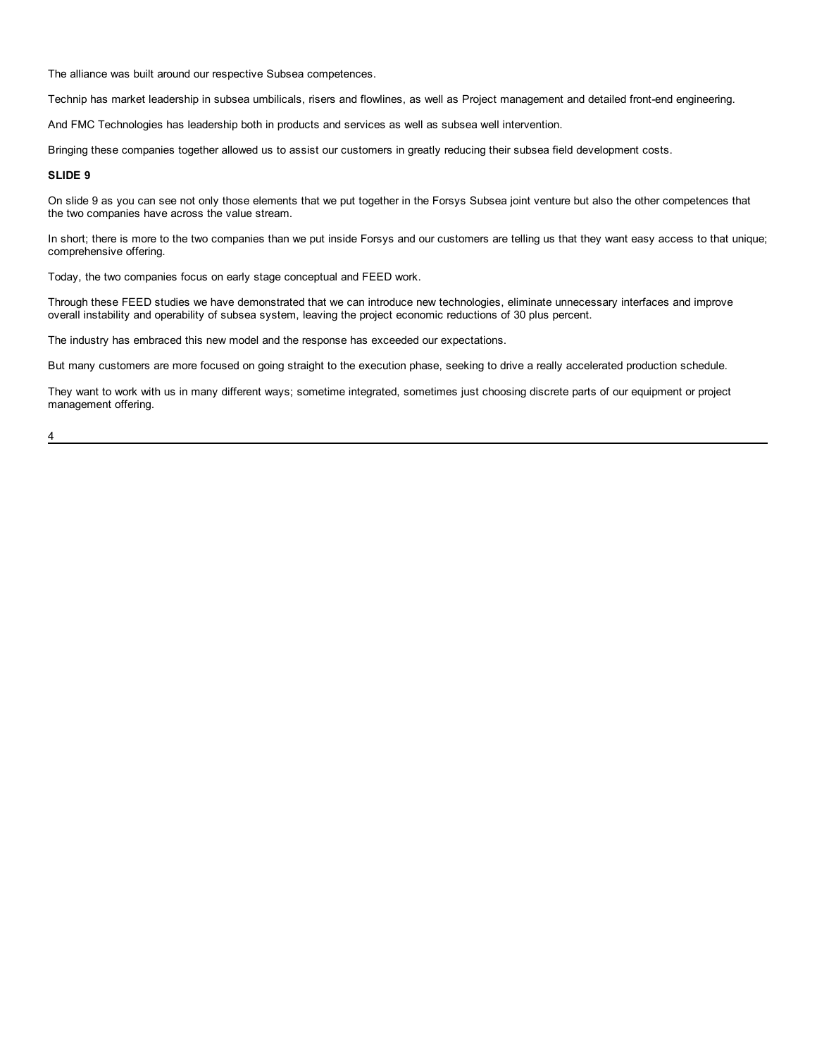The alliance was built around our respective Subsea competences.

Technip has market leadership in subsea umbilicals, risers and flowlines, as well as Project management and detailed front-end engineering.

And FMC Technologies has leadership both in products and services as well as subsea well intervention.

Bringing these companies together allowed us to assist our customers in greatly reducing their subsea field development costs.

# **SLIDE 9**

On slide 9 as you can see not only those elements that we put together in the Forsys Subsea joint venture but also the other competences that the two companies have across the value stream.

In short; there is more to the two companies than we put inside Forsys and our customers are telling us that they want easy access to that unique; comprehensive offering.

Today, the two companies focus on early stage conceptual and FEED work.

Through these FEED studies we have demonstrated that we can introduce new technologies, eliminate unnecessary interfaces and improve overall instability and operability of subsea system, leaving the project economic reductions of 30 plus percent.

The industry has embraced this new model and the response has exceeded our expectations.

But many customers are more focused on going straight to the execution phase, seeking to drive a really accelerated production schedule.

They want to work with us in many different ways; sometime integrated, sometimes just choosing discrete parts of our equipment or project management offering.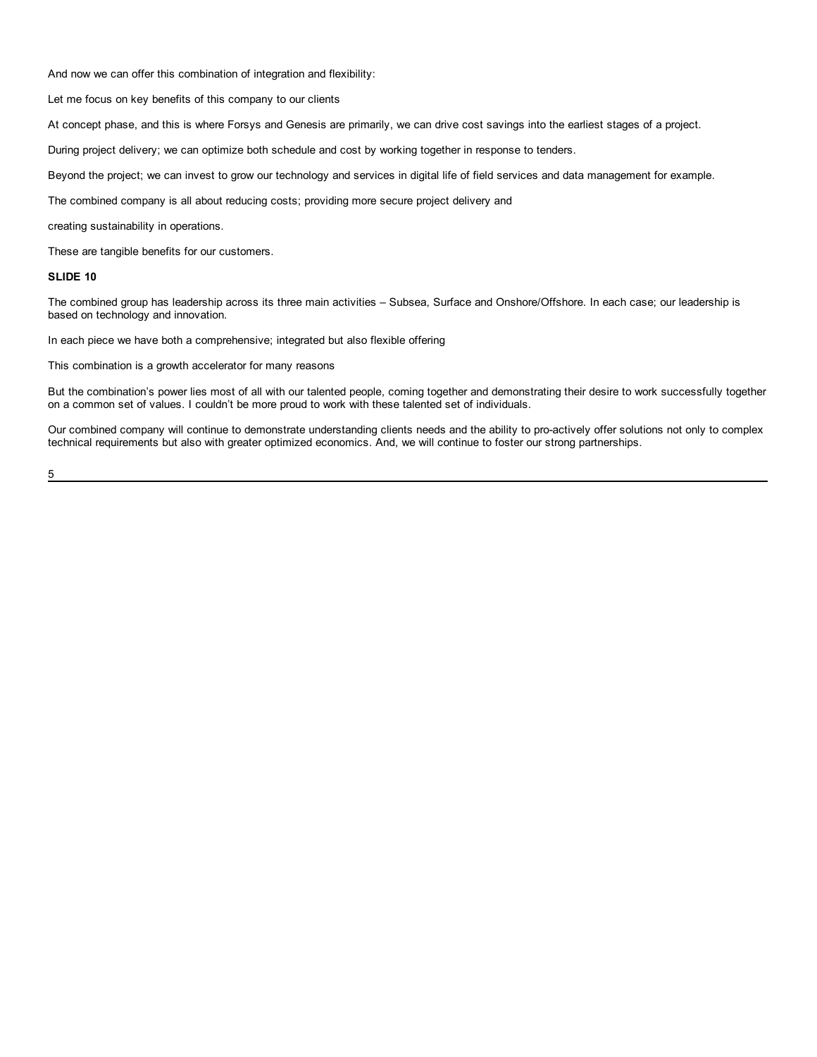And now we can offer this combination of integration and flexibility:

Let me focus on key benefits of this company to our clients

At concept phase, and this is where Forsys and Genesis are primarily, we can drive cost savings into the earliest stages of a project.

During project delivery; we can optimize both schedule and cost by working together in response to tenders.

Beyond the project; we can invest to grow our technology and services in digital life of field services and data management for example.

The combined company is all about reducing costs; providing more secure project delivery and

creating sustainability in operations.

These are tangible benefits for our customers.

# **SLIDE 10**

The combined group has leadership across its three main activities – Subsea, Surface and Onshore/Offshore. In each case; our leadership is based on technology and innovation.

In each piece we have both a comprehensive; integrated but also flexible offering

This combination is a growth accelerator for many reasons

But the combination's power lies most of all with our talented people, coming together and demonstrating their desire to work successfully together on a common set of values. I couldn't be more proud to work with these talented set of individuals.

Our combined company will continue to demonstrate understanding clients needs and the ability to pro-actively offer solutions not only to complex technical requirements but also with greater optimized economics. And, we will continue to foster our strong partnerships.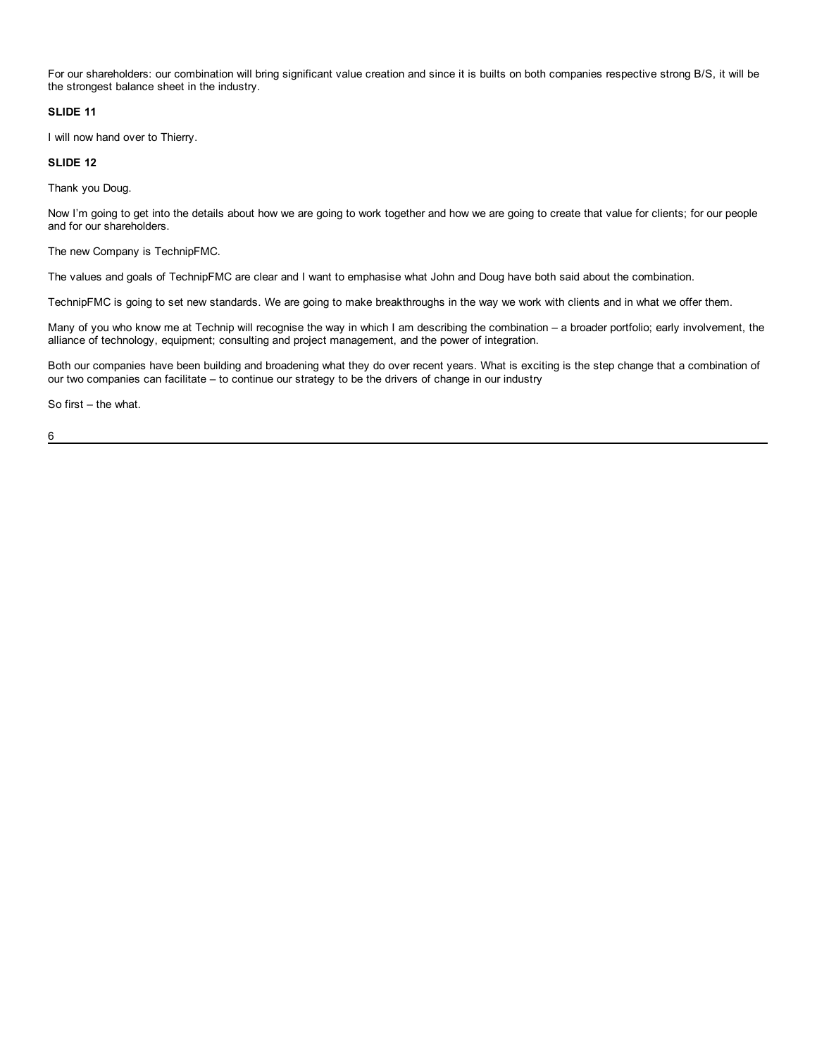For our shareholders: our combination will bring significant value creation and since it is builts on both companies respective strong B/S, it will be the strongest balance sheet in the industry.

# **SLIDE 11**

I will now hand over to Thierry.

# **SLIDE 12**

Thank you Doug.

Now I'm going to get into the details about how we are going to work together and how we are going to create that value for clients; for our people and for our shareholders.

The new Company is TechnipFMC.

The values and goals of TechnipFMC are clear and I want to emphasise what John and Doug have both said about the combination.

TechnipFMC is going to set new standards. We are going to make breakthroughs in the way we work with clients and in what we offer them.

Many of you who know me at Technip will recognise the way in which I am describing the combination – a broader portfolio; early involvement, the alliance of technology, equipment; consulting and project management, and the power of integration.

Both our companies have been building and broadening what they do over recent years. What is exciting is the step change that a combination of our two companies can facilitate – to continue our strategy to be the drivers of change in our industry

So first – the what.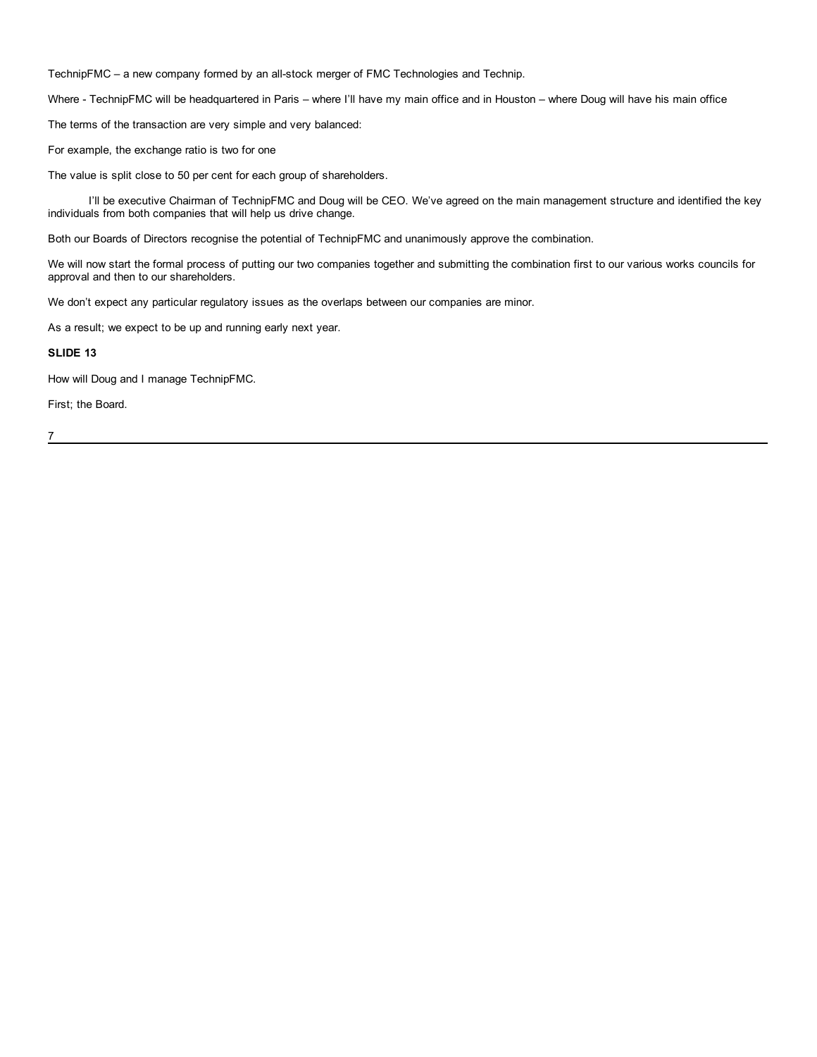TechnipFMC – a new company formed by an all-stock merger of FMC Technologies and Technip.

Where - TechnipFMC will be headquartered in Paris – where I'll have my main office and in Houston – where Doug will have his main office

The terms of the transaction are very simple and very balanced:

For example, the exchange ratio is two for one

The value is split close to 50 per cent for each group of shareholders.

I'll be executive Chairman of TechnipFMC and Doug will be CEO. We've agreed on the main management structure and identified the key individuals from both companies that will help us drive change.

Both our Boards of Directors recognise the potential of TechnipFMC and unanimously approve the combination.

We will now start the formal process of putting our two companies together and submitting the combination first to our various works councils for approval and then to our shareholders.

We don't expect any particular regulatory issues as the overlaps between our companies are minor.

As a result; we expect to be up and running early next year.

# **SLIDE 13**

How will Doug and I manage TechnipFMC.

First; the Board.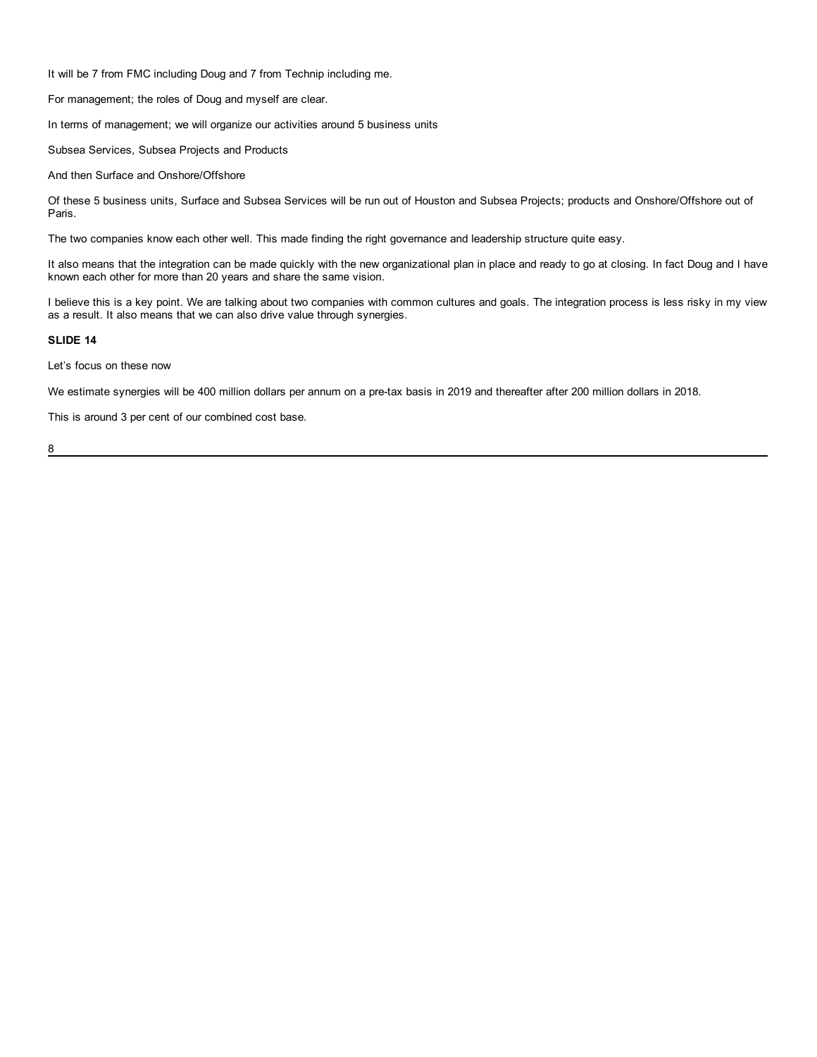It will be 7 from FMC including Doug and 7 from Technip including me.

For management; the roles of Doug and myself are clear.

In terms of management; we will organize our activities around 5 business units

Subsea Services, Subsea Projects and Products

And then Surface and Onshore/Offshore

Of these 5 business units, Surface and Subsea Services will be run out of Houston and Subsea Projects; products and Onshore/Offshore out of Paris.

The two companies know each other well. This made finding the right governance and leadership structure quite easy.

It also means that the integration can be made quickly with the new organizational plan in place and ready to go at closing. In fact Doug and I have known each other for more than 20 years and share the same vision.

I believe this is a key point. We are talking about two companies with common cultures and goals. The integration process is less risky in my view as a result. It also means that we can also drive value through synergies.

# **SLIDE 14**

Let's focus on these now

We estimate synergies will be 400 million dollars per annum on a pre-tax basis in 2019 and thereafter after 200 million dollars in 2018.

This is around 3 per cent of our combined cost base.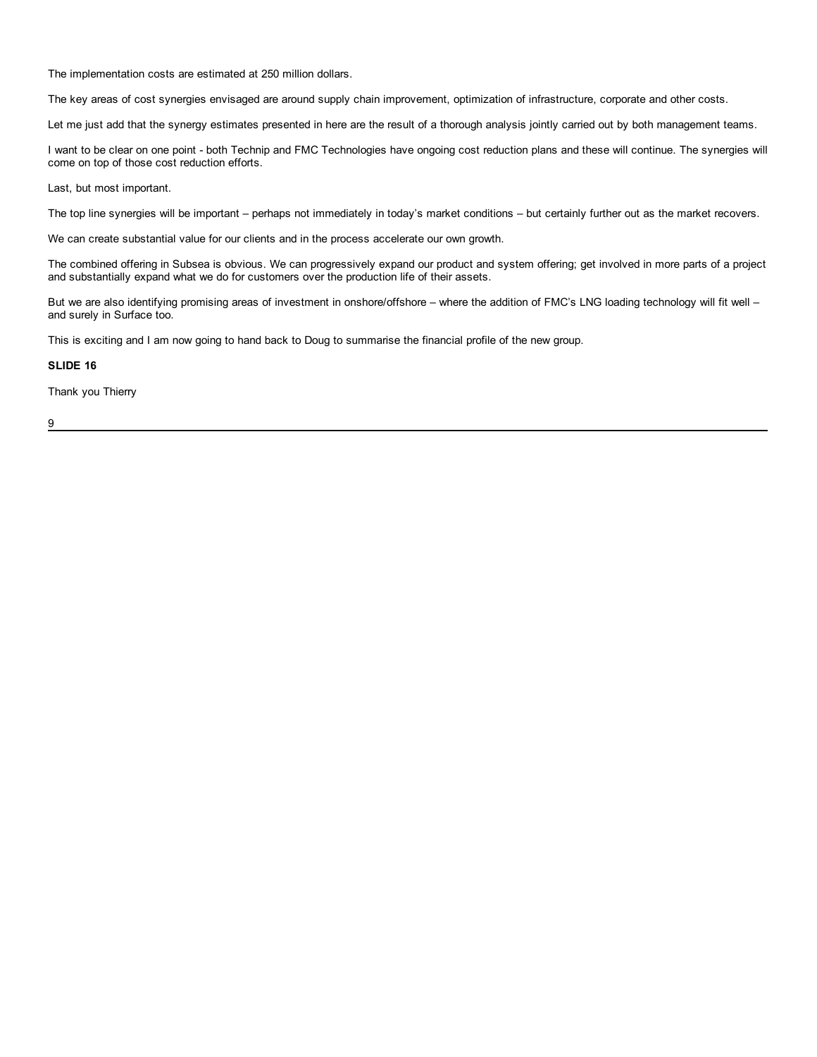The implementation costs are estimated at 250 million dollars.

The key areas of cost synergies envisaged are around supply chain improvement, optimization of infrastructure, corporate and other costs.

Let me just add that the synergy estimates presented in here are the result of a thorough analysis jointly carried out by both management teams.

I want to be clear on one point - both Technip and FMC Technologies have ongoing cost reduction plans and these will continue. The synergies will come on top of those cost reduction efforts.

Last, but most important.

The top line synergies will be important – perhaps not immediately in today's market conditions – but certainly further out as the market recovers.

We can create substantial value for our clients and in the process accelerate our own growth.

The combined offering in Subsea is obvious. We can progressively expand our product and system offering; get involved in more parts of a project and substantially expand what we do for customers over the production life of their assets.

But we are also identifying promising areas of investment in onshore/offshore – where the addition of FMC's LNG loading technology will fit well – and surely in Surface too.

This is exciting and I am now going to hand back to Doug to summarise the financial profile of the new group.

# **SLIDE 16**

Thank you Thierry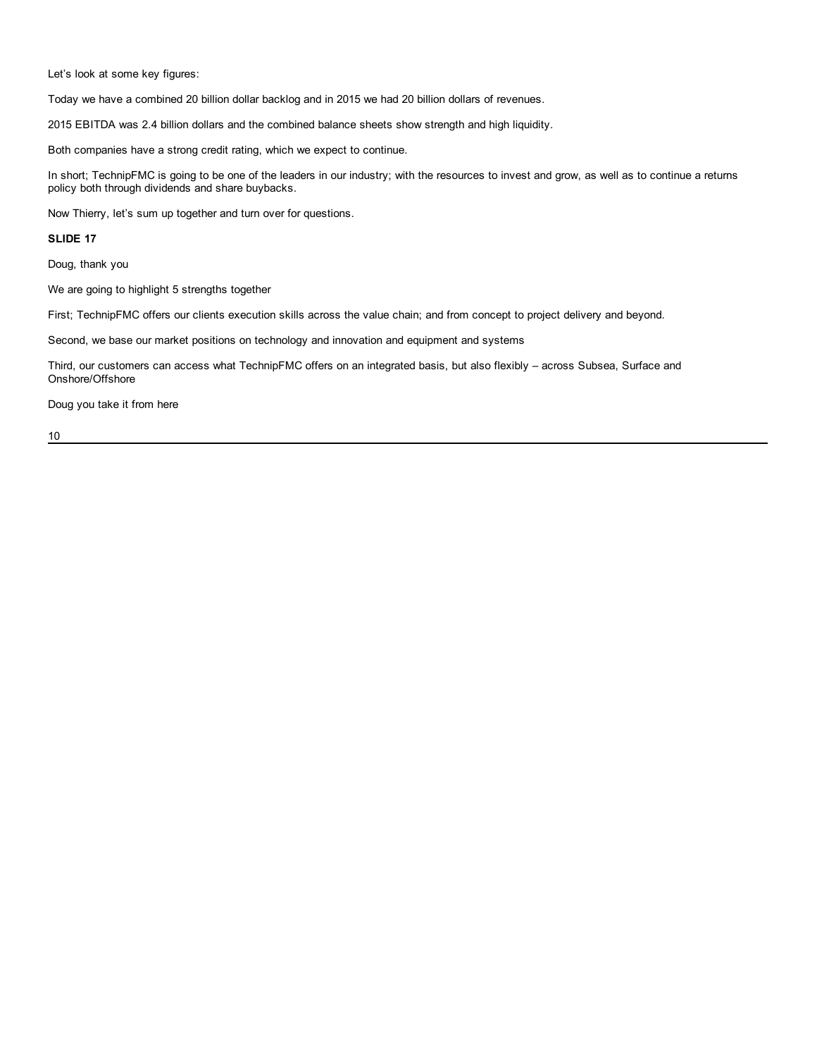Let's look at some key figures:

Today we have a combined 20 billion dollar backlog and in 2015 we had 20 billion dollars of revenues.

2015 EBITDA was 2.4 billion dollars and the combined balance sheets show strength and high liquidity.

Both companies have a strong credit rating, which we expect to continue.

In short; TechnipFMC is going to be one of the leaders in our industry; with the resources to invest and grow, as well as to continue a returns policy both through dividends and share buybacks.

Now Thierry, let's sum up together and turn over for questions.

# **SLIDE 17**

Doug, thank you

We are going to highlight 5 strengths together

First; TechnipFMC offers our clients execution skills across the value chain; and from concept to project delivery and beyond.

Second, we base our market positions on technology and innovation and equipment and systems

Third, our customers can access what TechnipFMC offers on an integrated basis, but also flexibly – across Subsea, Surface and Onshore/Offshore

Doug you take it from here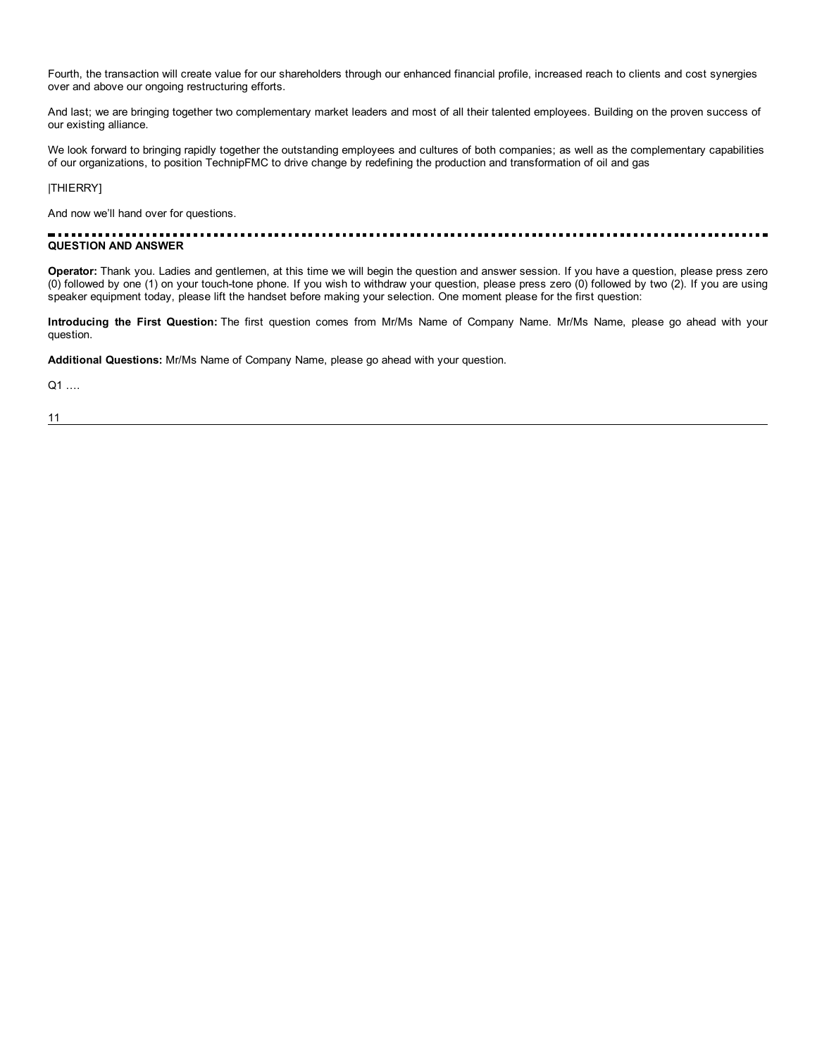Fourth, the transaction will create value for our shareholders through our enhanced financial profile, increased reach to clients and cost synergies over and above our ongoing restructuring efforts.

And last; we are bringing together two complementary market leaders and most of all their talented employees. Building on the proven success of our existing alliance.

We look forward to bringing rapidly together the outstanding employees and cultures of both companies; as well as the complementary capabilities of our organizations, to position TechnipFMC to drive change by redefining the production and transformation of oil and gas

|THIERRY]

And now we'll hand over for questions.

#### ---------------------............... ................................ **QUESTION AND ANSWER**

**Operator:** Thank you. Ladies and gentlemen, at this time we will begin the question and answer session. If you have a question, please press zero (0) followed by one (1) on your touch-tone phone. If you wish to withdraw your question, please press zero (0) followed by two (2). If you are using speaker equipment today, please lift the handset before making your selection. One moment please for the first question:

**Introducing the First Question:** The first question comes from Mr/Ms Name of Company Name. Mr/Ms Name, please go ahead with your question.

**Additional Questions:** Mr/Ms Name of Company Name, please go ahead with your question.

Q1 ….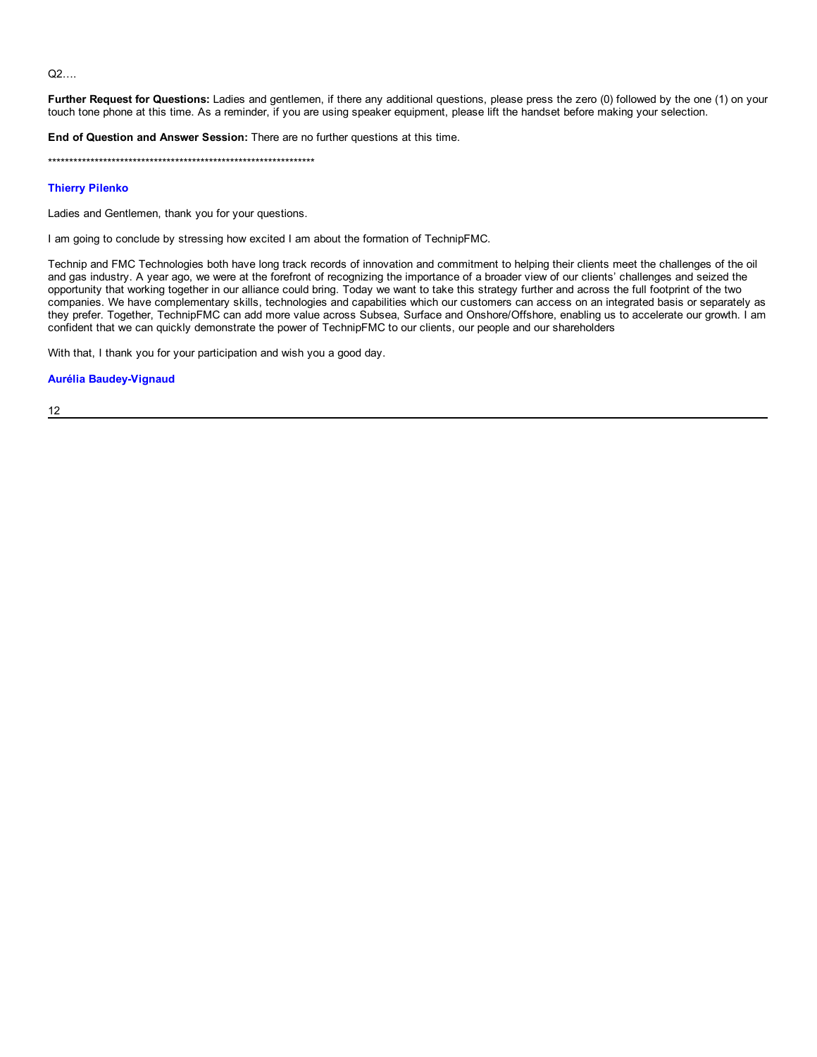Q2….

**Further Request for Questions:** Ladies and gentlemen, if there any additional questions, please press the zero (0) followed by the one (1) on your touch tone phone at this time. As a reminder, if you are using speaker equipment, please lift the handset before making your selection.

**End of Question and Answer Session:** There are no further questions at this time.

\*\*\*\*\*\*\*\*\*\*\*\*\*\*\*\*\*\*\*\*\*\*\*\*\*\*\*\*\*\*\*\*\*\*\*\*\*\*\*\*\*\*\*\*\*\*\*\*\*\*\*\*\*\*\*\*\*\*\*\*\*\*\*

# **Thierry Pilenko**

Ladies and Gentlemen, thank you for your questions.

I am going to conclude by stressing how excited I am about the formation of TechnipFMC.

Technip and FMC Technologies both have long track records of innovation and commitment to helping their clients meet the challenges of the oil and gas industry. A year ago, we were at the forefront of recognizing the importance of a broader view of our clients' challenges and seized the opportunity that working together in our alliance could bring. Today we want to take this strategy further and across the full footprint of the two companies. We have complementary skills, technologies and capabilities which our customers can access on an integrated basis or separately as they prefer. Together, TechnipFMC can add more value across Subsea, Surface and Onshore/Offshore, enabling us to accelerate our growth. I am confident that we can quickly demonstrate the power of TechnipFMC to our clients, our people and our shareholders

With that, I thank you for your participation and wish you a good day.

# **Aurélia Baudey-Vignaud**